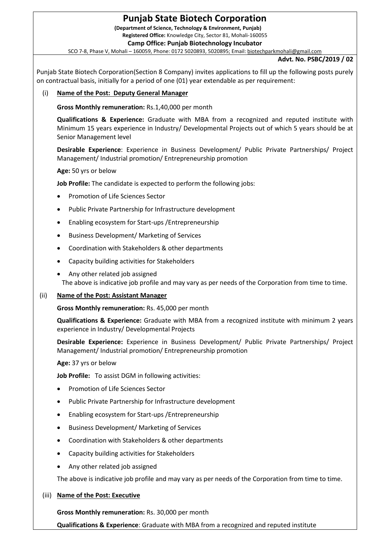# **Punjab State Biotech Corporation**

**(Department of Science, Technology & Environment, Punjab) Registered Office:** Knowledge City, Sector 81, Mohali-160055

**Camp Office: Punjab Biotechnology Incubator**

SCO 7-8, Phase V, Mohali – 160059, Phone: 0172 5020893, 5020895; Email[: biotechparkmohali@gmail.com](mailto:biotechparkmohali@gmail.com)

## **Advt. No. PSBC/2019 / 02**

Punjab State Biotech Corporation(Section 8 Company) invites applications to fill up the following posts purely on contractual basis, initially for a period of one (01) year extendable as per requirement:

## (i) **Name of the Post: Deputy General Manager**

**Gross Monthly remuneration:** Rs.1,40,000 per month

**Qualifications & Experience:** Graduate with MBA from a recognized and reputed institute with Minimum 15 years experience in Industry/ Developmental Projects out of which 5 years should be at Senior Management level

**Desirable Experience**: Experience in Business Development/ Public Private Partnerships/ Project Management/ Industrial promotion/ Entrepreneurship promotion

**Age:** 50 yrs or below

**Job Profile:** The candidate is expected to perform the following jobs:

- Promotion of Life Sciences Sector
- Public Private Partnership for Infrastructure development
- Enabling ecosystem for Start-ups /Entrepreneurship
- **•** Business Development/ Marketing of Services
- Coordination with Stakeholders & other departments
- Capacity building activities for Stakeholders
- Any other related job assigned The above is indicative job profile and may vary as per needs of the Corporation from time to time.

## (ii) **Name of the Post: Assistant Manager**

**Gross Monthly remuneration:** Rs. 45,000 per month

**Qualifications & Experience:** Graduate with MBA from a recognized institute with minimum 2 years experience in Industry/ Developmental Projects

**Desirable Experience:** Experience in Business Development/ Public Private Partnerships/ Project Management/ Industrial promotion/ Entrepreneurship promotion

**Age:** 37 yrs or below

**Job Profile:** To assist DGM in following activities:

- Promotion of Life Sciences Sector
- Public Private Partnership for Infrastructure development
- Enabling ecosystem for Start-ups /Entrepreneurship
- **•** Business Development/ Marketing of Services
- Coordination with Stakeholders & other departments
- Capacity building activities for Stakeholders
- Any other related job assigned

The above is indicative job profile and may vary as per needs of the Corporation from time to time.

## (iii) **Name of the Post: Executive**

**Gross Monthly remuneration:** Rs. 30,000 per month

**Qualifications & Experience**: Graduate with MBA from a recognized and reputed institute